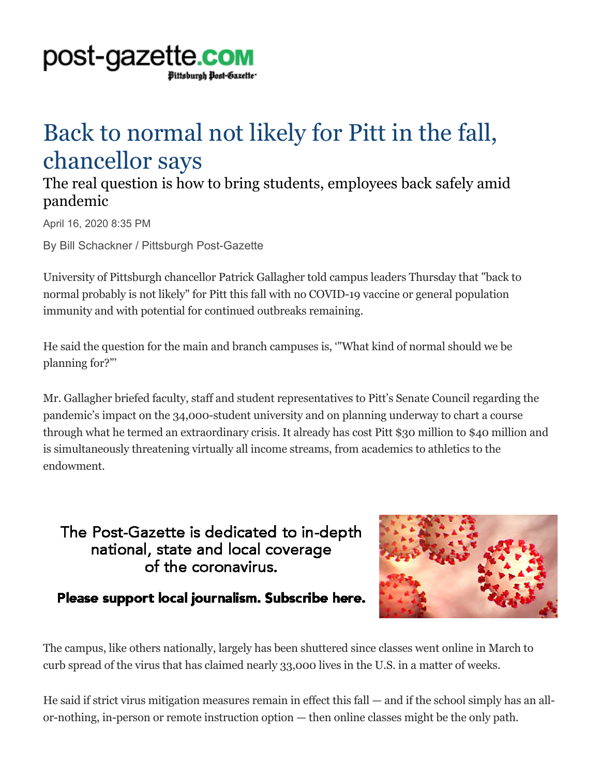

## Back to normal not likely for Pitt in the fall, chancellor says

## The real question is how to bring students, employees back safely amid pandemic

April 16, 2020 8:35 PM

By Bill Schackner / Pittsburgh Post-Gazette

University of Pittsburgh chancellor Patrick Gallagher told campus leaders Thursday that "back to normal probably is not likely" for Pitt this fall with no COVID-19 vaccine or general population immunity and with potential for continued outbreaks remaining.

He said the question for the main and branch campuses is, '"What kind of normal should we be planning for?"'

Mr. Gallagher briefed faculty, staff and student representatives to Pitt's Senate Council regarding the pandemic's impact on the 34,000-student university and on planning underway to chart a course through what he termed an extraordinary crisis. It already has cost Pitt \$30 million to \$40 million and is simultaneously threatening virtually all income streams, from academics to athletics to the endowment.

## The Post-Gazette is dedicated to in-depth national, state and local coverage of the coronavirus.



## Please support local journalism. Subscribe here.

The campus, like others nationally, largely has been shuttered since classes went online in March to curb spread of the virus that has claimed nearly 33,000 lives in the U.S. in a matter of weeks.

He said if strict virus mitigation measures remain in effect this fall — and if the school simply has an allor-nothing, in-person or remote instruction option — then online classes might be the only path.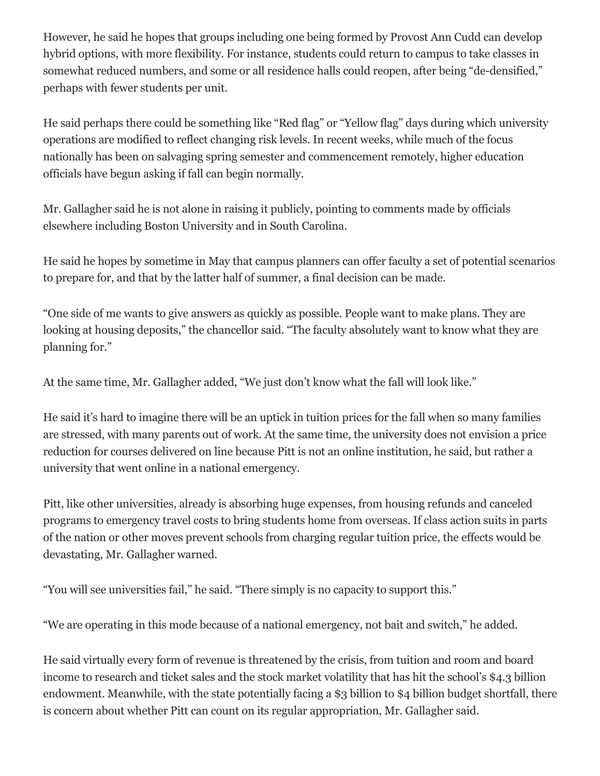However, he said he hopes that groups including one being formed by Provost Ann Cudd can develop hybrid options, with more flexibility. For instance, students could return to campus to take classes in somewhat reduced numbers, and some or all residence halls could reopen, after being "de-densified," perhaps with fewer students per unit.

He said perhaps there could be something like "Red flag" or "Yellow flag" days during which university operations are modified to reflect changing risk levels. In recent weeks, while much of the focus nationally has been on salvaging spring semester and commencement remotely, higher education officials have begun asking if fall can begin normally.

Mr. Gallagher said he is not alone in raising it publicly, pointing to comments made by officials elsewhere including Boston University and in South Carolina.

He said he hopes by sometime in May that campus planners can offer faculty a set of potential scenarios to prepare for, and that by the latter half of summer, a final decision can be made.

"One side of me wants to give answers as quickly as possible. People want to make plans. They are looking at housing deposits," the chancellor said. "The faculty absolutely want to know what they are planning for."

At the same time, Mr. Gallagher added, "We just don't know what the fall will look like."

He said it's hard to imagine there will be an uptick in tuition prices for the fall when so many families are stressed, with many parents out of work. At the same time, the university does not envision a price reduction for courses delivered on line because Pitt is not an online institution, he said, but rather a university that went online in a national emergency.

Pitt, like other universities, already is absorbing huge expenses, from housing refunds and canceled programs to emergency travel costs to bring students home from overseas. If class action suits in parts of the nation or other moves prevent schools from charging regular tuition price, the effects would be devastating, Mr. Gallagher warned.

"You will see universities fail," he said. "There simply is no capacity to support this."

"We are operating in this mode because of a national emergency, not bait and switch," he added.

He said virtually every form of revenue is threatened by the crisis, from tuition and room and board income to research and ticket sales and the stock market volatility that has hit the school's \$4.3 billion endowment. Meanwhile, with the state potentially facing a \$3 billion to \$4 billion budget shortfall, there is concern about whether Pitt can count on its regular appropriation, Mr. Gallagher said.